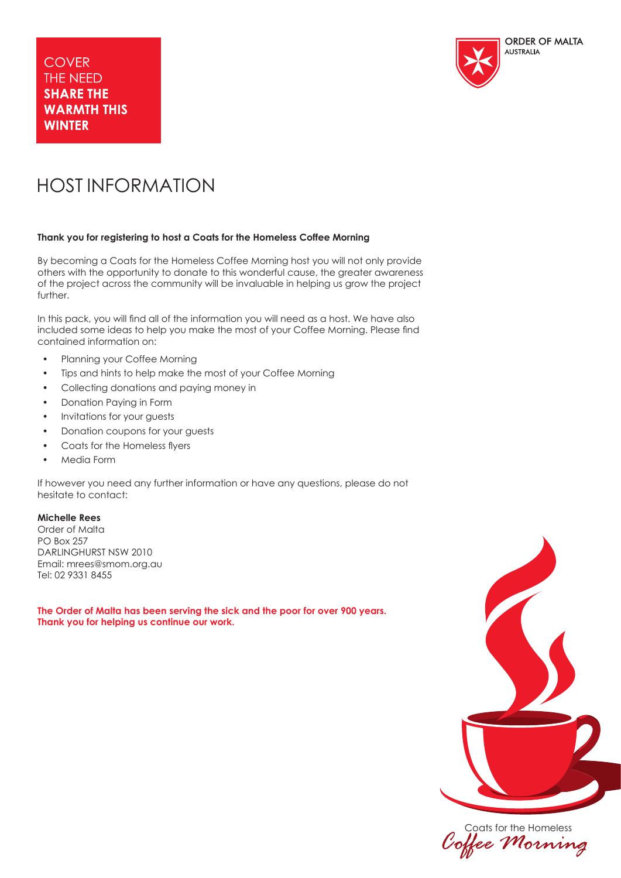

# HOST INFORMATION

# **Thank you for registering to host a Coats for the Homeless Coffee Morning**

By becoming a Coats for the Homeless Coffee Morning host you will not only provide others with the opportunity to donate to this wonderful cause, the greater awareness of the project across the community will be invaluable in helping us grow the project further.

In this pack, you will find all of the information you will need as a host. We have also included some ideas to help you make the most of your Coffee Morning. Please find contained information on:

- Planning your Coffee Morning
- Tips and hints to help make the most of your Coffee Morning
- Collecting donations and paying money in
- Donation Paying in Form
- Invitations for your guests
- Donation coupons for your guests
- Coats for the Homeless flyers
- Media Form

If however you need any further information or have any questions, please do not hesitate to contact:

# **Michelle Rees**

Order of Malta PO Box 257 DARLINGHURST NSW 2010 Email: mrees@smom.org.au Tel: 02 9331 8455

**The Order of Malta has been serving the sick and the poor for over 900 years. Thank you for helping us continue our work.** 



Coats for the Homeless *Coffee Morning*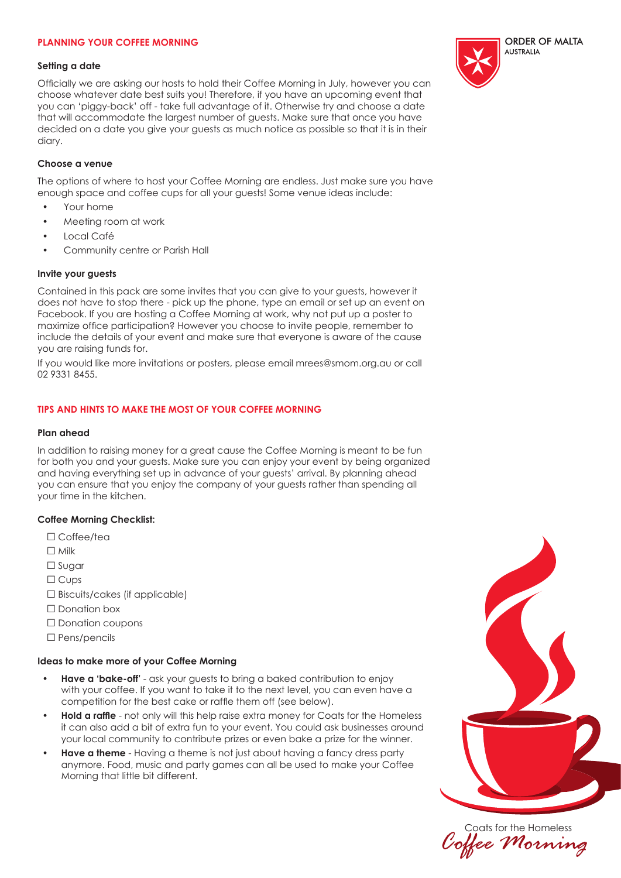# **PLANNING YOUR COFFEE MORNING**

#### **Setting a date**

Officially we are asking our hosts to hold their Coffee Morning in July, however you can choose whatever date best suits you! Therefore, if you have an upcoming event that you can 'piggy-back' off - take full advantage of it. Otherwise try and choose a date that will accommodate the largest number of guests. Make sure that once you have decided on a date you give your guests as much notice as possible so that it is in their diary.

## **Choose a venue**

The options of where to host your Coffee Morning are endless. Just make sure you have enough space and coffee cups for all your guests! Some venue ideas include:

- Your home
- Meeting room at work
- Local Café
- Community centre or Parish Hall

### **Invite your guests**

Contained in this pack are some invites that you can give to your guests, however it does not have to stop there - pick up the phone, type an email or set up an event on Facebook. If you are hosting a Coffee Morning at work, why not put up a poster to maximize office participation? However you choose to invite people, remember to include the details of your event and make sure that everyone is aware of the cause you are raising funds for.

If you would like more invitations or posters, please email mrees@smom.org.au or call 02 9331 8455.

# **TIPS AND HINTS TO MAKE THE MOST OF YOUR COFFEE MORNING**

### **Plan ahead**

In addition to raising money for a great cause the Coffee Morning is meant to be fun for both you and your guests. Make sure you can enjoy your event by being organized and having everything set up in advance of your guests' arrival. By planning ahead you can ensure that you enjoy the company of your guests rather than spending all your time in the kitchen.

# **Coffee Morning Checklist:**

- □ Coffee/tea
- □ Milk
- □ Sugar
- □ Cups
- $\square$  Biscuits/cakes (if applicable)
- □ Donation box
- □ Donation coupons
- □ Pens/pencils

#### **Ideas to make more of your Coffee Morning**

- **Have a 'bake-off'** ask your guests to bring a baked contribution to enjoy with your coffee. If you want to take it to the next level, you can even have a competition for the best cake or raffle them off (see below).
- **Hold a raffle** not only will this help raise extra money for Coats for the Homeless it can also add a bit of extra fun to your event. You could ask businesses around your local community to contribute prizes or even bake a prize for the winner.
- **Have a theme** Having a theme is not just about having a fancy dress party anymore. Food, music and party games can all be used to make your Coffee Morning that little bit different.





Coats for the Homeless *Coffee Morning*